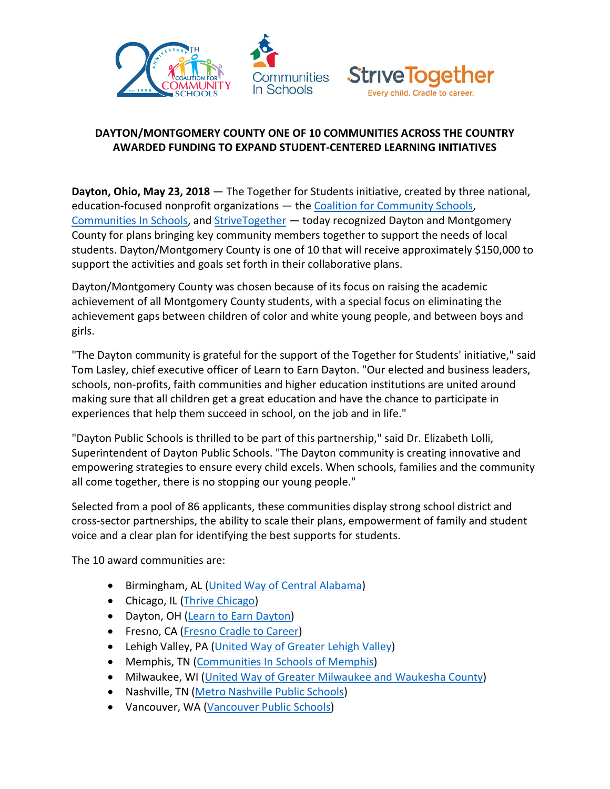



## **DAYTON/MONTGOMERY COUNTY ONE OF 10 COMMUNITIES ACROSS THE COUNTRY AWARDED FUNDING TO EXPAND STUDENT-CENTERED LEARNING INITIATIVES**

**Dayton, Ohio, May 23, 2018** — The Together for Students initiative, created by three national, education-focused nonprofit organizations — the [Coalition for Community Schools,](http://www.communityschools.org/) [Communities](https://www.communitiesinschools.org/) In Schools, and [StriveTogether](https://www.strivetogether.org/) — today recognized Dayton and Montgomery County for plans bringing key community members together to support the needs of local students. Dayton/Montgomery County is one of 10 that will receive approximately \$150,000 to support the activities and goals set forth in their collaborative plans.

Dayton/Montgomery County was chosen because of its focus on raising the academic achievement of all Montgomery County students, with a special focus on eliminating the achievement gaps between children of color and white young people, and between boys and girls.

"The Dayton community is grateful for the support of the Together for Students' initiative," said Tom Lasley, chief executive officer of Learn to Earn Dayton. "Our elected and business leaders, schools, non-profits, faith communities and higher education institutions are united around making sure that all children get a great education and have the chance to participate in experiences that help them succeed in school, on the job and in life."

"Dayton Public Schools is thrilled to be part of this partnership," said Dr. Elizabeth Lolli, Superintendent of Dayton Public Schools. "The Dayton community is creating innovative and empowering strategies to ensure every child excels. When schools, families and the community all come together, there is no stopping our young people."

Selected from a pool of 86 applicants, these communities display strong school district and cross-sector partnerships, the ability to scale their plans, empowerment of family and student voice and a clear plan for identifying the best supports for students.

The 10 award communities are:

- Birmingham, AL [\(United Way of Central Alabama\)](http://www.uwca.org/)
- Chicago, IL [\(Thrive Chicago\)](http://www.thrivechi.org/)
- Dayton, OH [\(Learn to Earn Dayton\)](https://learntoearndayton.org/)
- Fresno, CA [\(Fresno Cradle to Career\)](http://www.fresnoc2c.org/)
- Lehigh Valley, PA [\(United Way of Greater Lehigh Valley\)](https://www.unitedwayglv.org/)
- Memphis, TN [\(Communities In Schools of Memphis\)](http://www.cistn.org/)
- Milwaukee, WI [\(United Way of Greater Milwaukee](https://www.unitedwaygmwc.org/) and Waukesha County)
- Nashville, TN [\(Metro Nashville Public Schools\)](https://www.mnps.org/)
- Vancouver, WA [\(Vancouver Public Schools\)](http://vansd.org/)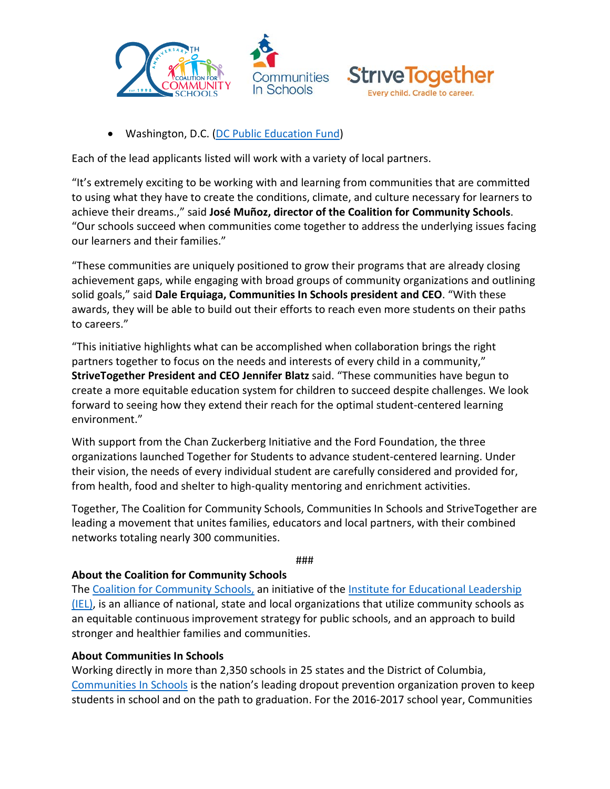



• Washington, D.C. [\(DC Public Education Fund\)](http://www.dcedfund.org/)

Each of the lead applicants listed will work with a variety of local partners.

"It's extremely exciting to be working with and learning from communities that are committed to using what they have to create the conditions, climate, and culture necessary for learners to achieve their dreams.," said **José Muñoz, director of the Coalition for Community Schools**. "Our schools succeed when communities come together to address the underlying issues facing our learners and their families."

"These communities are uniquely positioned to grow their programs that are already closing achievement gaps, while engaging with broad groups of community organizations and outlining solid goals," said **Dale Erquiaga, Communities In Schools president and CEO**. "With these awards, they will be able to build out their efforts to reach even more students on their paths to careers."

"This initiative highlights what can be accomplished when collaboration brings the right partners together to focus on the needs and interests of every child in a community," **StriveTogether President and CEO Jennifer Blatz** said. "These communities have begun to create a more equitable education system for children to succeed despite challenges. We look forward to seeing how they extend their reach for the optimal student-centered learning environment."

With support from the Chan Zuckerberg Initiative and the Ford Foundation, the three organizations launched Together for Students to advance student-centered learning. Under their vision, the needs of every individual student are carefully considered and provided for, from health, food and shelter to high-quality mentoring and enrichment activities.

Together, The Coalition for Community Schools, Communities In Schools and StriveTogether are leading a movement that unites families, educators and local partners, with their combined networks totaling nearly 300 communities.

###

## **About the Coalition for Community Schools**

The [Coalition for Community Schools,](http://www.communityschools.org/) an initiative of the Institute for Educational Leadership [\(IEL\),](http://www.iel.org/) is an alliance of national, state and local organizations that utilize community schools as an equitable continuous improvement strategy for public schools, and an approach to build stronger and healthier families and communities.

## **About Communities In Schools**

Working directly in more than 2,350 schools in 25 states and the District of Columbia, [Communities In Schools](https://www.communitiesinschools.org/) is the nation's leading dropout prevention organization proven to keep students in school and on the path to graduation. For the 2016-2017 school year, Communities